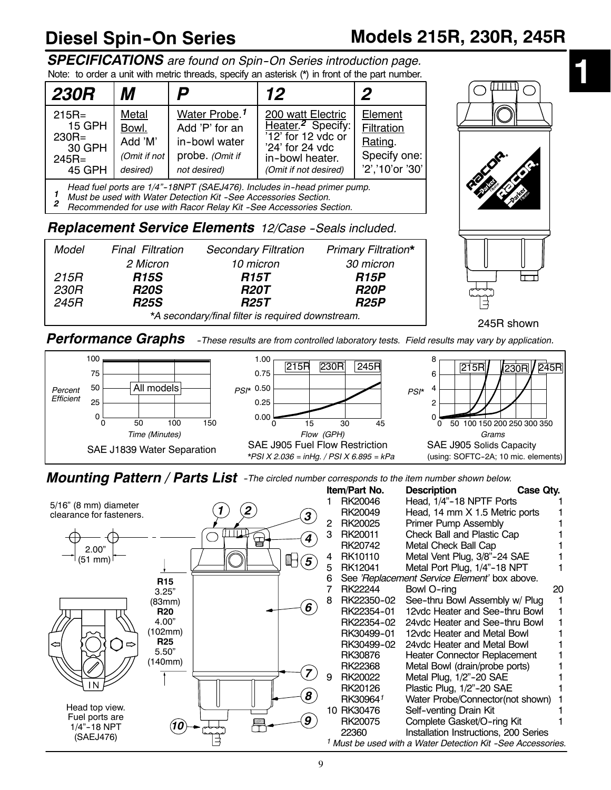# **Diesel Spin--On Series Models 215R, 230R, 245R**

245R shown

ᡰ᠇

**1**

*SPECIFICATIONS are found on Spin--On Series introduction page.* Note: to order a unit with metric threads, specify an asterisk (\*) in front of the part number.

| <b>230R</b>                                                           | М                                                     | D                                                                                               | 12                                                                                                                                              | 2                                                                   |
|-----------------------------------------------------------------------|-------------------------------------------------------|-------------------------------------------------------------------------------------------------|-------------------------------------------------------------------------------------------------------------------------------------------------|---------------------------------------------------------------------|
| $215R =$<br><b>15 GPH</b><br>$230R =$<br>30 GPH<br>$245R =$<br>45 GPH | Metal<br>Bowl.<br>Add 'M'<br>(Omit if not<br>desired) | Water Probe. <sup>1</sup><br>Add 'P' for an<br>in-bowl water<br>probe. (Omit if<br>not desired) | 200 watt Electric<br>Heater. <sup>2</sup> Specify:<br>$\sqrt{12'}$ for 12 vdc or<br>'24' for 24 vdc<br>in-bowl heater.<br>(Omit if not desired) | Element<br>Filtration<br>Rating.<br>Specify one:<br>'2','10'or '30' |

*Head fuel ports are 1/4"--18NPT (SAEJ476). Includes in--head primer pump. <sup>1</sup> Must be used with Water Detection Kit --See Accessories Section.*

*2 Recommended for use with Racor Relay Kit --See Accessories Section.*

### **Replacement Service Elements** 12/Case -Seals included.

| Model                                             | <b>Final Filtration</b> | <b>Secondary Filtration</b> | <b>Primary Filtration*</b> |  |  |  |  |  |
|---------------------------------------------------|-------------------------|-----------------------------|----------------------------|--|--|--|--|--|
|                                                   | 2 Micron                | 10 micron                   | 30 micron                  |  |  |  |  |  |
| 215R                                              | <b>R15S</b>             | <b>R15T</b>                 | <b>R15P</b>                |  |  |  |  |  |
| 230R                                              | <b>R20S</b>             | <b>R20T</b>                 | <b>R20P</b>                |  |  |  |  |  |
| 245R                                              | <b>R25S</b>             | <b>R25T</b>                 | <b>R25P</b>                |  |  |  |  |  |
| *A secondary/final filter is required downstream. |                         |                             |                            |  |  |  |  |  |

*Performance Graphs --These results are from controlled laboratory tests. Field results may vary by application.*



*Mounting Pattern / Parts List --The circled number corresponds to the item number shown below.*

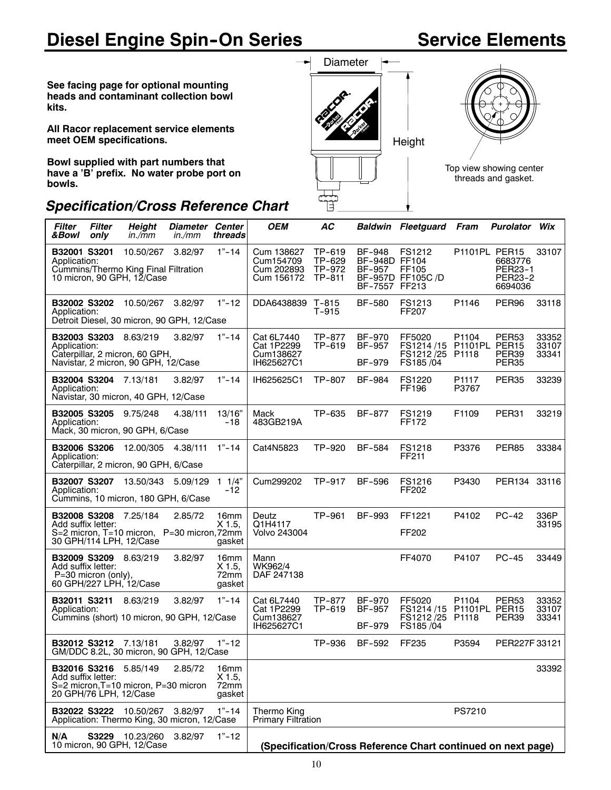# **Diesel Engine Spin-On Series**

# **Service Elements**

**See facing page for optional mounting heads and contaminant collection bowl kits.**

**All Racor replacement service elements meet OEM specifications.**

**Bowl supplied with part numbers that have a 'B' prefix. No water probe port on bowls.**

### *Specification/Cross Reference Chart*



| <b>Filter</b><br>Filter<br>&Bowl<br>only                                                                                    | <b>Height</b><br>in./mm | Diameter Center<br>in./mm | threads                            | <b>OEM</b>                                          | AC                                   |                                                    | <b>Baldwin Fleetguard Fram</b>                                   |                        | <b>Purolator Wix</b>                     |                         |
|-----------------------------------------------------------------------------------------------------------------------------|-------------------------|---------------------------|------------------------------------|-----------------------------------------------------|--------------------------------------|----------------------------------------------------|------------------------------------------------------------------|------------------------|------------------------------------------|-------------------------|
| B32001 S3201<br>Application:<br>Cummins/Thermo King Final Filtration<br>10 micron, 90 GPH, 12/Case                          | 10.50/267               | 3.82/97                   | $1" - 14$                          | Cum 138627<br>Cum154709<br>Cum 202893<br>Cum 156172 | TP-619<br>TP-629<br>TP-972<br>TP-811 | BF-948<br>BF-948D FF104<br>BF-957<br>BF-7557 FF213 | FS1212<br>FF105<br>BF-957D FF105C /D                             | P1101PL PER15          | 6683776<br>PER23-1<br>PER23-2<br>6694036 | 33107                   |
| B32002 S3202<br>Application:<br>Detroit Diesel, 30 micron, 90 GPH, 12/Case                                                  | 10.50/267               | 3.82/97                   | $1" - 12$                          | DDA6438839 T-815                                    | T-915                                | <b>BF-580</b>                                      | FS1213<br>FF207                                                  | P1146                  | PER <sub>96</sub>                        | 33118                   |
| <b>B32003 S3203</b> 8.63/219<br>Application:<br>Caterpillar, 2 micron, 60 GPH,<br>Navistar, 2 micron, 90 GPH, 12/Case       |                         | 3.82/97                   | $1" - 14$                          | Cat 6L7440<br>Cat 1P2299<br>Cum138627<br>IH625627C1 | TP-877<br>TP-619                     | BF-970<br>BF-957<br>BF-979                         | FF5020<br>FS1214/15<br>FS1212/25 P1118<br>FS185 /04              | P1104<br>P1101PL PER15 | PER <sub>53</sub><br>PER39<br>PER35      | 33352<br>33107<br>33341 |
| B32004 S3204 7.13/181<br>Application:<br>Navistar, 30 micron, 40 GPH, 12/Case                                               |                         | 3.82/97                   | $1" - 14$                          | IH625625C1                                          | TP-807                               | <b>BF-984</b>                                      | FS1220<br>FF196                                                  | P1117<br>P3767         | PER35                                    | 33239                   |
| B32005 S3205 9.75/248<br>Application:<br>Mack, 30 micron, 90 GPH, 6/Case                                                    |                         | 4.38/111                  | 13/16"<br>-18                      | Mack<br>483GB219A                                   | TP-635                               | BF-877                                             | FS1219<br>FF172                                                  | F1109                  | PER31                                    | 33219                   |
| B32006 S3206<br>Application:<br>Caterpillar, 2 micron, 90 GPH, 6/Case                                                       | 12.00/305               | 4.38/111                  | $1 - 14$                           | Cat4N5823                                           | TP-920                               | BF-584                                             | FS1218<br>FF211                                                  | P3376                  | <b>PER85</b>                             | 33384                   |
| B32007 S3207 13.50/343 5.09/129<br>Application:<br>Cummins, 10 micron, 180 GPH, 6/Case                                      |                         |                           | $1 \t1/4"$<br>-12                  | Cum299202                                           | TP-917                               | BF-596                                             | FS1216<br>FF202                                                  | P3430                  | PER134 33116                             |                         |
| <b>B32008 S3208</b> 7.25/184<br>Add suffix letter:<br>S=2 micron, T=10 micron, P=30 micron, 72mm<br>30 GPH/114 LPH, 12/Case |                         | 2.85/72                   | 16mm<br>X 1.5.<br>gasket           | Deutz<br>Q1H4117<br>Volvo 243004                    | TP-961                               | BF-993                                             | FF1221<br>FF202                                                  | P4102                  | $PC-42$                                  | 336P<br>33195           |
| <b>B32009 S3209</b> 8.63/219<br>Add suffix letter:<br>P=30 micron (only),<br>60 GPH/227 LPH, 12/Case                        |                         | 3.82/97                   | 16mm<br>$X$ 1.5,<br>72mm<br>gasket | Mann<br>WK962/4<br>DAF 247138                       |                                      |                                                    | FF4070                                                           | P4107                  | $PC-45$                                  | 33449                   |
| <b>B32011 S3211</b> 8.63/219<br>Application:<br>Cummins (short) 10 micron, 90 GPH, 12/Case                                  |                         | 3.82/97                   | $1" - 14$                          | Cat 6L7440<br>Cat 1P2299<br>Cum138627<br>IH625627C1 | TP-877<br>TP-619                     | BF-970<br>BF-957<br>BF-979                         | FF5020<br>FS1214/15 P1101PL PER15<br>FS1212/25 P1118<br>FS185/04 | P1104                  | PER53<br>PER39                           | 33352<br>33107<br>33341 |
| B32012 S3212 7.13/181<br>GM/DDC 8.2L, 30 micron, 90 GPH, 12/Case                                                            |                         | 3.82/97                   | $1" - 12$                          |                                                     | TP-936                               | BF-592                                             | FF235                                                            | P3594                  | PER227F33121                             |                         |
| B32016 S3216 5.85/149<br>Add suffix letter:<br>S=2 micron, T=10 micron, P=30 micron<br>20 GPH/76 LPH, 12/Case               |                         | 2.85/72                   | 16mm<br>$X$ 1.5,<br>72mm<br>gasket |                                                     |                                      |                                                    |                                                                  |                        |                                          | 33392                   |
| <b>B32022 S3222</b> 10.50/267<br>Application: Thermo King, 30 micron, 12/Case                                               |                         | 3.82/97                   | $1" - 14$                          | Thermo King<br>Primary Filtration                   |                                      |                                                    |                                                                  | PS7210                 |                                          |                         |
| N/A<br>10 micron, 90 GPH, 12/Case                                                                                           | S3229 10.23/260         | 3.82/97                   | $1 - 12$                           |                                                     |                                      |                                                    | (Specification/Cross Reference Chart continued on next page)     |                        |                                          |                         |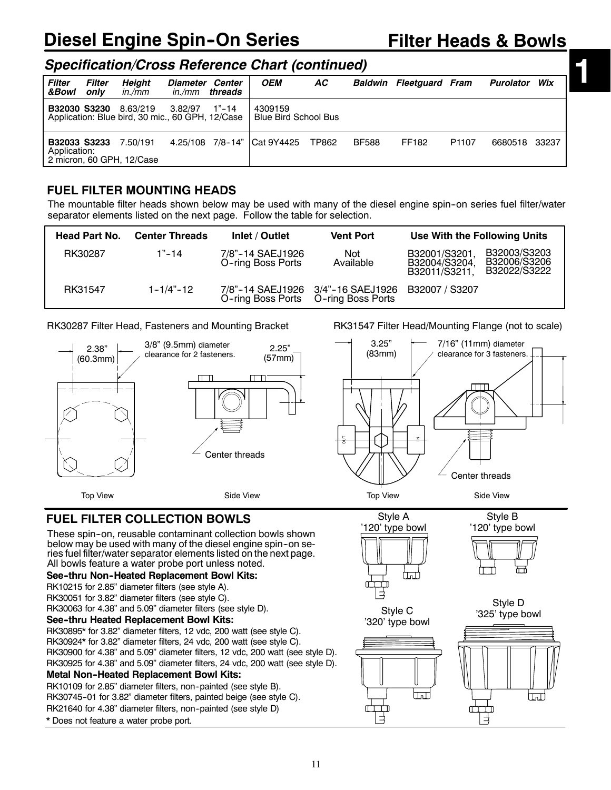# **Diesel Engine Spin-On Series**

# **Filter Heads & Bowls**

**1**

### *Specification/Cross Reference Chart (continued)*

| <b>Filter</b><br>&Bowl | <b>Filter</b><br>only | Height<br>in./mm                                                                 | Diameter Center<br>in./mm | threads | <b>OEM</b>                             | AC.   |              | <b>Baldwin Fleetguard Fram</b> |                   | Purolator     | Wix |
|------------------------|-----------------------|----------------------------------------------------------------------------------|---------------------------|---------|----------------------------------------|-------|--------------|--------------------------------|-------------------|---------------|-----|
|                        |                       | <b>B32030 S3230</b> 8.63/219<br>Application: Blue bird, 30 mic., 60 GPH, 12/Case | 3.82/97                   | 1"-14   | 4309159<br><b>Blue Bird School Bus</b> |       |              |                                |                   |               |     |
| Application:           |                       | <b>B32033 S3233</b> 7.50/191<br>2 micron, 60 GPH, 12/Case                        |                           |         | 4.25/108 7/8-14" Cat 9Y4425            | TP862 | <b>BF588</b> | FF182                          | P <sub>1107</sub> | 6680518 33237 |     |

### **FUEL FILTER MOUNTING HEADS**

The mountable filter heads shown below may be used with many of the diesel engine spin-on series fuel filter/water separator elements listed on the next page. Follow the table for selection.

| <b>Head Part No.</b> | <b>Center Threads</b> | Inlet / Outlet                        | <b>Vent Port</b>                                                         | Use With the Following Units                                                                    |
|----------------------|-----------------------|---------------------------------------|--------------------------------------------------------------------------|-------------------------------------------------------------------------------------------------|
| RK30287              | $1" - 14$             | 7/8"-14 SAEJ1926<br>O-ring Boss Ports | Not<br>Available                                                         | B32003/S3203<br>B32001/S3201,<br>B32006/S3206<br>B32004/S3204.<br>B32022/S3222<br>B32011/S3211. |
| RK31547              | $1 - 1/4 - 12$        |                                       | 7/8"-14 SAEJ1926 3/4"-16 SAEJ1926<br>O-ring Boss Ports O-ring Boss Ports | B32007 / S3207                                                                                  |

#### RK30287 Filter Head, Fasteners and Mounting Bracket



### **FUEL FILTER COLLECTION BOWLS**

These spin-on, reusable contaminant collection bowls shown below may be used with many of the diesel engine spin--on series fuel filter/water separator elements listed on the next page. All bowls feature a water probe port unless noted.

#### **See--thru Non--Heated Replacement Bowl Kits:**

RK10215 for 2.85" diameter filters (see style A).

RK30051 for 3.82" diameter filters (see style C).

RK30063 for 4.38" and 5.09" diameter filters (see style D).

#### **See--thru Heated Replacement Bowl Kits:**

RK30895\* for 3.82" diameter filters, 12 vdc, 200 watt (see style C). RK30924\* for 3.82" diameter filters, 24 vdc, 200 watt (see style C). RK30900 for 4.38" and 5.09" diameter filters, 12 vdc, 200 watt (see style D). RK30925 for 4.38" and 5.09" diameter filters, 24 vdc, 200 watt (see style D).

#### **Metal Non--Heated Replacement Bowl Kits:**

RK10109 for 2.85" diameter filters, non-painted (see style B).

RK30745-01 for 3.82" diameter filters, painted beige (see style C).

RK21640 for 4.38" diameter filters, non-painted (see style D)

\* Does not feature a water probe port.

RK31547 Filter Head/Mounting Flange (not to scale)



Style A '120' type bowl نستا

'320' type bowl





Style B '120' type bowl